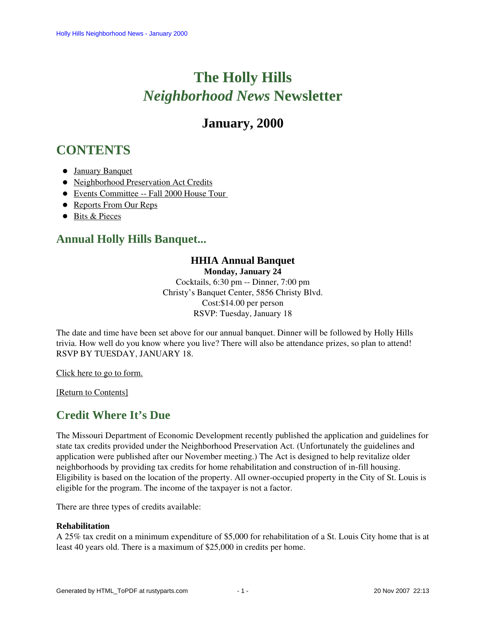# **The Holly Hills**  *Neighborhood News* **Newsletter**

## **January, 2000**

# <span id="page-0-2"></span>**CONTENTS**

- [January Banquet](#page-0-0)
- [Neighborhood Preservation Act Credits](#page-0-1)
- [Events Committee -- Fall 2000 House Tour](#page-1-0)
- [Reports From Our Reps](#page-1-1)
- [Bits & Pieces](#page-2-0)

### <span id="page-0-0"></span>**Annual Holly Hills Banquet...**

### **HHIA Annual Banquet**

**Monday, January 24**

Cocktails, 6:30 pm -- Dinner, 7:00 pm Christy's Banquet Center, 5856 Christy Blvd. Cost:\$14.00 per person RSVP: Tuesday, January 18

The date and time have been set above for our annual banquet. Dinner will be followed by Holly Hills trivia. How well do you know where you live? There will also be attendance prizes, so plan to attend! RSVP BY TUESDAY, JANUARY 18.

Click here to go to form.

<span id="page-0-1"></span>[\[Return to Contents\]](#page-0-2)

### **Credit Where It's Due**

The Missouri Department of Economic Development recently published the application and guidelines for state tax credits provided under the Neighborhood Preservation Act. (Unfortunately the guidelines and application were published after our November meeting.) The Act is designed to help revitalize older neighborhoods by providing tax credits for home rehabilitation and construction of in-fill housing. Eligibility is based on the location of the property. All owner-occupied property in the City of St. Louis is eligible for the program. The income of the taxpayer is not a factor.

There are three types of credits available:

### **Rehabilitation**

A 25% tax credit on a minimum expenditure of \$5,000 for rehabilitation of a St. Louis City home that is at least 40 years old. There is a maximum of \$25,000 in credits per home.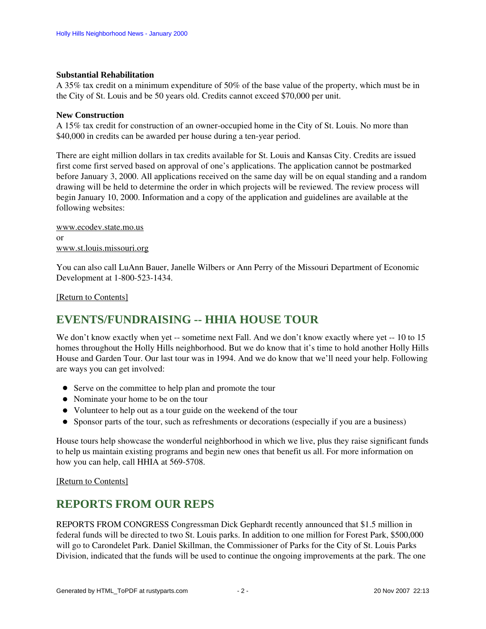#### **Substantial Rehabilitation**

A 35% tax credit on a minimum expenditure of 50% of the base value of the property, which must be in the City of St. Louis and be 50 years old. Credits cannot exceed \$70,000 per unit.

#### **New Construction**

A 15% tax credit for construction of an owner-occupied home in the City of St. Louis. No more than \$40,000 in credits can be awarded per house during a ten-year period.

There are eight million dollars in tax credits available for St. Louis and Kansas City. Credits are issued first come first served based on approval of one's applications. The application cannot be postmarked before January 3, 2000. All applications received on the same day will be on equal standing and a random drawing will be held to determine the order in which projects will be reviewed. The review process will begin January 10, 2000. Information and a copy of the application and guidelines are available at the following websites:

[www.ecodev.state.mo.us](http://www.ecodev.state.mo.us/) or [www.st.louis.missouri.org](http://www.st.louis.missouri.org/)

You can also call LuAnn Bauer, Janelle Wilbers or Ann Perry of the Missouri Department of Economic Development at 1-800-523-1434.

[\[Return to Contents\]](#page-0-2)

### <span id="page-1-0"></span>**EVENTS/FUNDRAISING -- HHIA HOUSE TOUR**

We don't know exactly when yet -- sometime next Fall. And we don't know exactly where yet -- 10 to 15 homes throughout the Holly Hills neighborhood. But we do know that it's time to hold another Holly Hills House and Garden Tour. Our last tour was in 1994. And we do know that we'll need your help. Following are ways you can get involved:

- Serve on the committee to help plan and promote the tour
- Nominate your home to be on the tour
- Volunteer to help out as a tour guide on the weekend of the tour
- Sponsor parts of the tour, such as refreshments or decorations (especially if you are a business)

House tours help showcase the wonderful neighborhood in which we live, plus they raise significant funds to help us maintain existing programs and begin new ones that benefit us all. For more information on how you can help, call HHIA at 569-5708.

[\[Return to Contents\]](#page-0-2)

### <span id="page-1-1"></span>**REPORTS FROM OUR REPS**

REPORTS FROM CONGRESS Congressman Dick Gephardt recently announced that \$1.5 million in federal funds will be directed to two St. Louis parks. In addition to one million for Forest Park, \$500,000 will go to Carondelet Park. Daniel Skillman, the Commissioner of Parks for the City of St. Louis Parks Division, indicated that the funds will be used to continue the ongoing improvements at the park. The one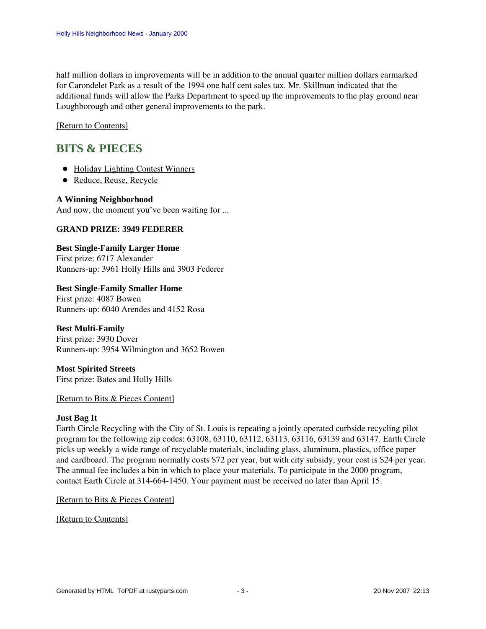half million dollars in improvements will be in addition to the annual quarter million dollars earmarked for Carondelet Park as a result of the 1994 one half cent sales tax. Mr. Skillman indicated that the additional funds will allow the Parks Department to speed up the improvements to the play ground near Loughborough and other general improvements to the park.

[\[Return to Contents\]](#page-0-2)

### <span id="page-2-3"></span><span id="page-2-0"></span>**BITS & PIECES**

- [Holiday Lighting Contest Winners](#page-2-1)
- [Reduce, Reuse, Recycle](#page-2-2)

### <span id="page-2-1"></span>**A Winning Neighborhood**

And now, the moment you've been waiting for ...

### **GRAND PRIZE: 3949 FEDERER**

### **Best Single-Family Larger Home**

First prize: 6717 Alexander Runners-up: 3961 Holly Hills and 3903 Federer

### **Best Single-Family Smaller Home**

First prize: 4087 Bowen Runners-up: 6040 Arendes and 4152 Rosa

### **Best Multi-Family**

First prize: 3930 Dover Runners-up: 3954 Wilmington and 3652 Bowen

#### **Most Spirited Streets** First prize: Bates and Holly Hills

### [\[Return to Bits & Pieces Content\]](#page-2-3)

### <span id="page-2-2"></span>**Just Bag It**

Earth Circle Recycling with the City of St. Louis is repeating a jointly operated curbside recycling pilot program for the following zip codes: 63108, 63110, 63112, 63113, 63116, 63139 and 63147. Earth Circle picks up weekly a wide range of recyclable materials, including glass, aluminum, plastics, office paper and cardboard. The program normally costs \$72 per year, but with city subsidy, your cost is \$24 per year. The annual fee includes a bin in which to place your materials. To participate in the 2000 program, contact Earth Circle at 314-664-1450. Your payment must be received no later than April 15.

### [\[Return to Bits & Pieces Content\]](#page-2-3)

[\[Return to Contents\]](#page-0-2)